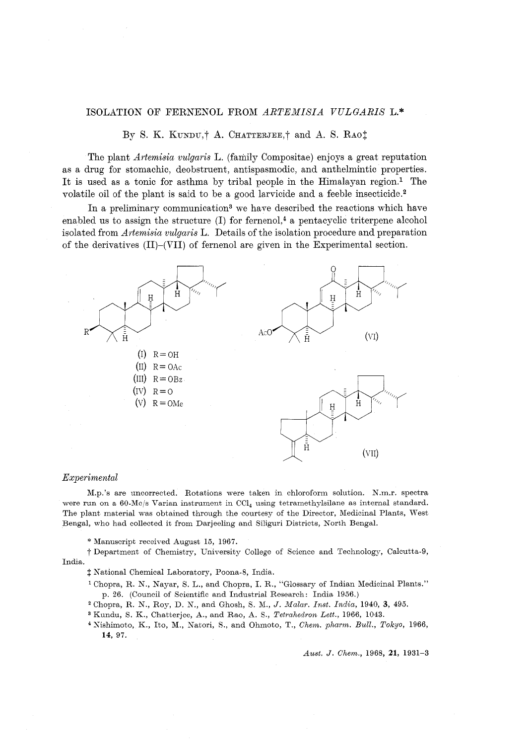# ISOLATION OF FERNENOL FROM *ARTEMISIA VULGARIS* L.\*

By S. K. KUNDU.<sup>†</sup> A. CHATTERJEE.<sup>†</sup> and A. S. RAOT

The plant *Artemisia vulgaris* L. (family Compositae) enjoys a great reputation as a drug for stomachic, deobstruent, antispasmodic, and anthelmintic properties. It is used as a tonic for asthma by tribal people in the Himalayan region.<sup>1</sup> The volatile oil of the plant is said to be a good larvicide and a feeble insecticide. $2$ 

In a preliminary communication<sup>3</sup> we have described the reactions which have enabled us to assign the structure  $(I)$  for fernenol,<sup>4</sup> a pentacyclic triterpene alcohol isolated from *Artemisia vulgaris* L. Details of the isolation procedure and preparation of the derivatives  $(II)$ - $(VII)$  of fernenol are given in the Experimental section.



### *Experimental*

M.p.'s are uncorrected. Rotations were taken in chloroform solution. N.m.r, spectra were run on a 60-Mc/s Varian instrument in CCl<sub>4</sub> using tetramethylsilane as internal standard. The plant material was obtained through the courtesy of the Director, Medicinal Plants, West Bengal, who had collected it from Darjeeling and Siliguri Districts, North Bengal.

\* Manuscript received August 15, 1967.

t Department of Chemistry, University College of Science and Technology, Calcutta-9, India.

 $\ddagger$  National Chemical Laboratory, Poona-8, India.

- ' Chopra, R. N., Nayar, S. L., and Chopra, I. R., "Glossary of Indian Medicinal Plants." p. 26. (Council of Scientific and Industrial Research: India 1956.)
- <sup>2</sup> Chopra, R. N., Roy, D. N., and Ghosh, S. M., J. *Malar. Inst. India*, 1940, 3, 495.
- Kundu, S. K., Chatterjee, A., and Rao, A. S., *Tetrahedron Lett.,* 1966, 1043.
- qishimoto, K., Ito, M., Natori, R., and Ohmoto, T., *Chem. pharm. Bull., Tokyo,* 1966, 14, 97.

*Aust. J. Chem.,* 1968, *21,* 1931-3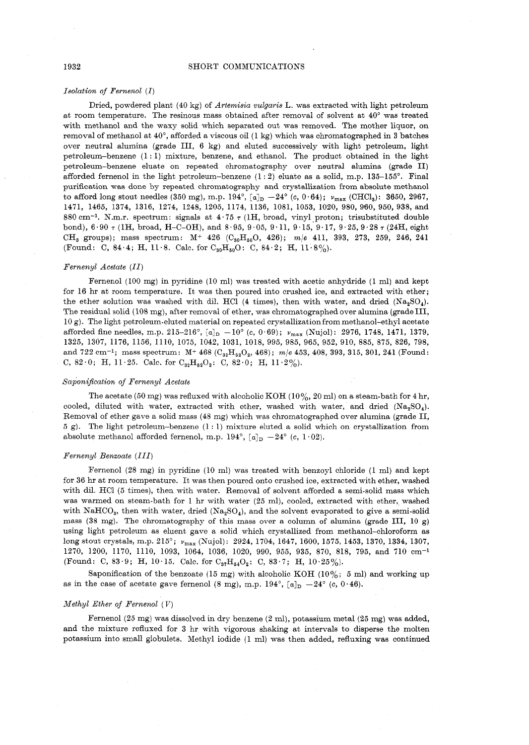#### SHORT COMMUNICATIONS

#### Isolation of  $F$ ernenol  $(I)$

Dried, powdered plant (40 kg) of Artemisia vulgaris L. was extracted with light petroleum at room temperature. The resinous mass obtained after removal of solvent at 40' was treated with methanol and the waxy solid which separated out was removed. The mother liquor, on removal of methanol at 40°, afforded a viscous oil (1 kg) which was chromatographed in 3 batches over neutral alumina (grade 111, 6 kg) and eluted successively with light petroleum, light petroleum-benzene (1 : 1) mixture, benzene, and ethanol. The product obtained in the light petroleum-benzene eluate on repeated chromatography over neutral alumina (grade 11) afforded fernenol in the light petroleum-benzene  $(1:2)$  eluate as a solid, m.p. 135-155°. Final purification was done by repeated chromatography and crystallization from absolute methanol to afford long stout needles (350 mg), m.p.  $194^{\circ}$ ,  $[a]_D - 24^{\circ}$  (c, 0.64);  $v_{\text{max}}$  (CHCl<sub>3</sub>): 3650, 2967, 1471, 1465, 1374, 1316, 1274, 1248, 1205, 1174, 1136, 1081, 1053, 1020, 980, 960, 950, 938, and 880 cm<sup>-1</sup>. N.m.r. spectrum: signals at  $4.75 \tau$  (1H, broad, vinyl proton; trisubstituted double bond),  $6.90 \tau$  (IH, broad, H-C-OH), and  $8.95$ ,  $9.05$ ,  $9.11$ ,  $9.15$ ,  $9.17$ ,  $9.25$ ,  $9.28 \tau$  (24H, eight CH<sub>3</sub> groups); mass spectrum:  $M^+$  426 (C<sub>30</sub>H<sub>50</sub>O, 426);  $m/e$  411, 393, 273, 259, 246, 241 (Found: C, 84.4; H, 11.8. Calc. for  $C_{30}H_{50}O$ : C, 84.2; H, 11.8%).

#### Fernenyl Acetate (11)

Fernenol (100 mg) in pyridine (10 ml) was treated with acetic anhydride (1 ml) and kept for 16 hr at room temperature. It was then poured into crushed ice, and extracted with ether; the ether solution was washed with dil. HCl (4 times), then with water, and dried  $(Na_2SO_4)$ . The residual solid (108 mg), after removal of ether, was chromatographed over alumina (grade III, 10 g). The light petroleum-eluted material on repeated crystallization from methanol-ethyl acetate afforded fine needles, m.p.  $215-216^{\circ}$ ,  $[a]_D -10^{\circ}$  (c,  $0.69$ );  $\nu_{\text{max}}$  (Nujol): 2976, 1748, 1471, 1379, 1325, 1307, 1176, 1156, 1110, 1075, 1042, 1031, 1018, 995, 985, 965, 952, 910, 885, 875, 826, 798, and  $722 \text{ cm}^{-1}$ ; mass spectrum:  $M^+ 468 (C_{32}H_{52}O_2, 468)$ ;  $m/e 453, 408, 393, 315, 301, 241$  (Found: C, 82.0; H, 11.25. Calc. for  $C_{32}H_{52}O_2$ : C, 82.0; H, 11.2%).

#### Saponification of Fernenyl Acetate

The acetate (50 mg) was refluxed with alcoholic KOH (10%, 20 ml) on a steam-bath for 4 hr, cooled, diluted with water, extracted with ether, washed with water, and dried  $(Na_2SO_4)$ . Removal of ether gave a solid mass (48 mg) which was chromatographed over alumina (grade 11,  $5 g$ ). The light petroleum-benzene  $(1:1)$  mixture eluted a solid which on crystallization from absolute methanol afforded fernenol, m.p. 194°,  $[a]_D - 24$ ° (c, 1.02).

#### Fernenyl Benzoate (111)

Pernenol (28 mg) in pyridine (10 ml) was treated with benzoyl chloride (1 ml) and kept for 36 hr at room temperature. It was then poured onto crushed ice, extracted with ether, washed with dil. HC1 (5 times), then with water. Removal of solvent afforded a semi-solid mass which was warmed on steam-bath for 1 hr with water (25 ml), cooled, extracted with ether, washed with NaHCO<sub>3</sub>, then with water, dried  $(Na_2SO_4)$ , and the solvent evaporated to give a semi-solid mass (38 mg). The chromatography of this mass over a column of alumina (grade III, 10 g) using light petroleum as eluent gave a solid which crystallized from methanol-chloroform as long stout crystals, m.p. 215'; **v,,,** (Nujol): 2924, 1704, 1647, 1600, 1575, 1453, 1370, 1334, 1307, 1270, 1200, 1170, 1110, 1093, 1064, 1036, 1020, 990, 955, 935, 870, 818, 795, and 710 om-' (Found: C, 83.9; H, 10.15. Calc. for  $C_{37}H_{54}O_2$ : C, 83.7; H, 10.25%).

Saponification of the benzoate (15 mg) with alcoholic KOH (10%; 5 ml) and working up as in the case of acetate gave fernenol (8 mg), m.p.  $194^{\circ}$ ,  $[a]_D -24^{\circ}$  (c,  $0.46$ ).

#### Methyl Ether of Fernenol  $(V)$

Fernenol (25 mg) was dissolved in dry benzene (2 ml), potassium metal (25 mg) was added, and the mixture refluxed for 3 hr with vigorous shaking at intervals to disperse the molten potassium into small globulets. Nethyl iodide (1 ml) was then added, refluxing was continued